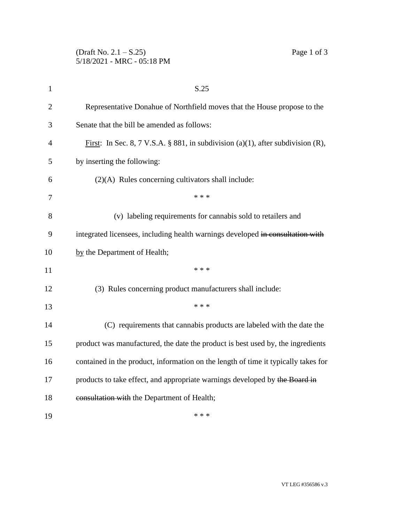| $\mathbf{1}$ | S.25                                                                                    |
|--------------|-----------------------------------------------------------------------------------------|
| $\mathbf{2}$ | Representative Donahue of Northfield moves that the House propose to the                |
| 3            | Senate that the bill be amended as follows:                                             |
| 4            | <u>First</u> : In Sec. 8, 7 V.S.A. § 881, in subdivision (a)(1), after subdivision (R), |
| 5            | by inserting the following:                                                             |
| 6            | $(2)(A)$ Rules concerning cultivators shall include:                                    |
| 7            | * * *                                                                                   |
| 8            | (v) labeling requirements for cannabis sold to retailers and                            |
| 9            | integrated licensees, including health warnings developed in consultation with          |
| 10           | by the Department of Health;                                                            |
| 11           | * * *                                                                                   |
| 12           | (3) Rules concerning product manufacturers shall include:                               |
| 13           | * * *                                                                                   |
| 14           | (C) requirements that cannabis products are labeled with the date the                   |
| 15           | product was manufactured, the date the product is best used by, the ingredients         |
| 16           | contained in the product, information on the length of time it typically takes for      |
| 17           | products to take effect, and appropriate warnings developed by the Board in             |
| 18           | consultation with the Department of Health;                                             |
| 19           | * * *                                                                                   |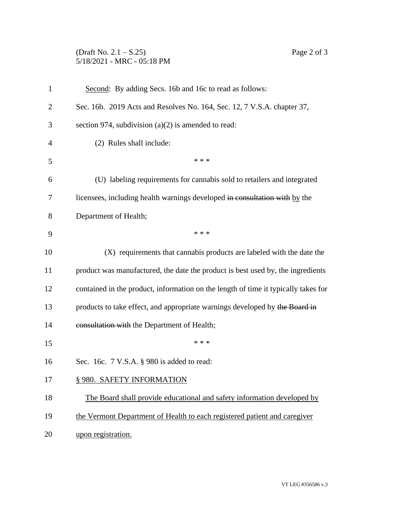## (Draft No. 2.1 – S.25) Page 2 of 3 5/18/2021 - MRC - 05:18 PM

| $\mathbf{1}$   | Second: By adding Secs. 16b and 16c to read as follows:                            |
|----------------|------------------------------------------------------------------------------------|
| $\overline{2}$ | Sec. 16b. 2019 Acts and Resolves No. 164, Sec. 12, 7 V.S.A. chapter 37,            |
| 3              | section 974, subdivision $(a)(2)$ is amended to read:                              |
| 4              | (2) Rules shall include:                                                           |
| 5              | * * *                                                                              |
| 6              | (U) labeling requirements for cannabis sold to retailers and integrated            |
| 7              | licensees, including health warnings developed in consultation with by the         |
| 8              | Department of Health;                                                              |
| 9              | * * *                                                                              |
| 10             | (X) requirements that cannabis products are labeled with the date the              |
| 11             | product was manufactured, the date the product is best used by, the ingredients    |
| 12             | contained in the product, information on the length of time it typically takes for |
| 13             | products to take effect, and appropriate warnings developed by the Board in        |
| 14             | consultation with the Department of Health;                                        |
| 15             | * * *                                                                              |
| 16             | Sec. 16c. 7 V.S.A. § 980 is added to read:                                         |
| 17             | § 980. SAFETY INFORMATION                                                          |
| 18             | The Board shall provide educational and safety information developed by            |
| 19             | the Vermont Department of Health to each registered patient and caregiver          |
| 20             | upon registration.                                                                 |